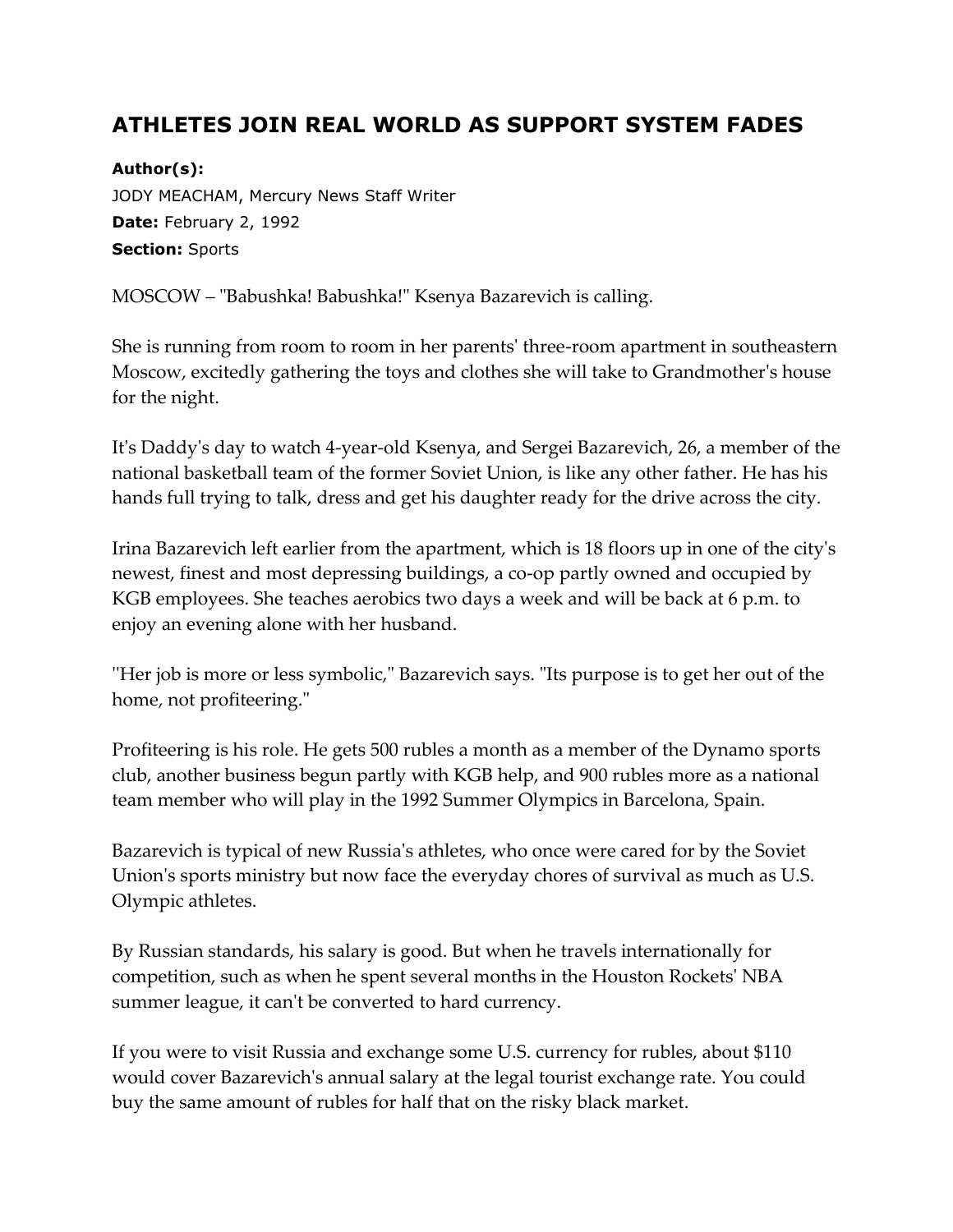## **ATHLETES JOIN REAL WORLD AS SUPPORT SYSTEM FADES**

## **Author(s):**

JODY MEACHAM, Mercury News Staff Writer **Date:** February 2, 1992 **Section:** Sports

MOSCOW – "Babushka! Babushka!" Ksenya Bazarevich is calling.

She is running from room to room in her parents' three-room apartment in southeastern Moscow, excitedly gathering the toys and clothes she will take to Grandmother's house for the night.

It's Daddy's day to watch 4-year-old Ksenya, and Sergei Bazarevich, 26, a member of the national basketball team of the former Soviet Union, is like any other father. He has his hands full trying to talk, dress and get his daughter ready for the drive across the city.

Irina Bazarevich left earlier from the apartment, which is 18 floors up in one of the city's newest, finest and most depressing buildings, a co-op partly owned and occupied by KGB employees. She teaches aerobics two days a week and will be back at 6 p.m. to enjoy an evening alone with her husband.

''Her job is more or less symbolic," Bazarevich says. "Its purpose is to get her out of the home, not profiteering."

Profiteering is his role. He gets 500 rubles a month as a member of the Dynamo sports club, another business begun partly with KGB help, and 900 rubles more as a national team member who will play in the 1992 Summer Olympics in Barcelona, Spain.

Bazarevich is typical of new Russia's athletes, who once were cared for by the Soviet Union's sports ministry but now face the everyday chores of survival as much as U.S. Olympic athletes.

By Russian standards, his salary is good. But when he travels internationally for competition, such as when he spent several months in the Houston Rockets' NBA summer league, it can't be converted to hard currency.

If you were to visit Russia and exchange some U.S. currency for rubles, about \$110 would cover Bazarevich's annual salary at the legal tourist exchange rate. You could buy the same amount of rubles for half that on the risky black market.